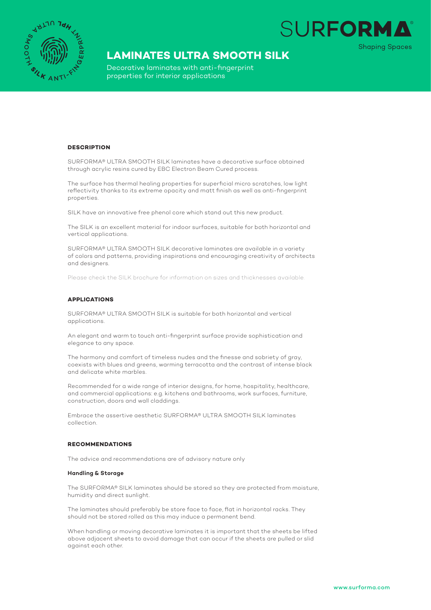

# **LAMINATES ULTRA SMOOTH SILK**

Decorative laminates with anti-fingerprint properties for interior applications

### **DESCRIPTION**

SURFORMA® ULTRA SMOOTH SILK laminates have a decorative surface obtained through acrylic resins cured by EBC Electron Beam Cured process.

The surface has thermal healing properties for superficial micro scratches, low light reflectivity thanks to its extreme opacity and matt finish as well as anti-fingerprint properties.

SILK have an innovative free phenol core which stand out this new product.

The SILK is an excellent material for indoor surfaces, suitable for both horizontal and vertical applications.

SURFORMA® ULTRA SMOOTH SILK decorative laminates are available in a variety of colors and patterns, providing inspirations and encouraging creativity of architects and designers.

Please check the SILK brochure for information on sizes and thicknesses available.

#### **APPLICATIONS**

SURFORMA® ULTRA SMOOTH SILK is suitable for both horizontal and vertical applications.

An elegant and warm to touch anti-fingerprint surface provide sophistication and elegance to any space.

The harmony and comfort of timeless nudes and the finesse and sobriety of gray, coexists with blues and greens, warming terracotta and the contrast of intense black and delicate white marbles.

Recommended for a wide range of interior designs, for home, hospitality, healthcare, and commercial applications: e.g. kitchens and bathrooms, work surfaces, furniture, construction, doors and wall claddings.

Embrace the assertive aesthetic SURFORMA® ULTRA SMOOTH SILK laminates collection.

#### **RECOMMENDATIONS**

The advice and recommendations are of advisory nature only

#### **Handling & Storage**

The SURFORMA® SILK laminates should be stored so they are protected from moisture, humidity and direct sunlight.

The laminates should preferably be store face to face, flat in horizontal racks. They should not be stored rolled as this may induce a permanent bend.

When handling or moving decorative laminates it is important that the sheets be lifted above adjacent sheets to avoid damage that can occur if the sheets are pulled or slid against each other.

**SURFORM** 

**Shaping Spaces**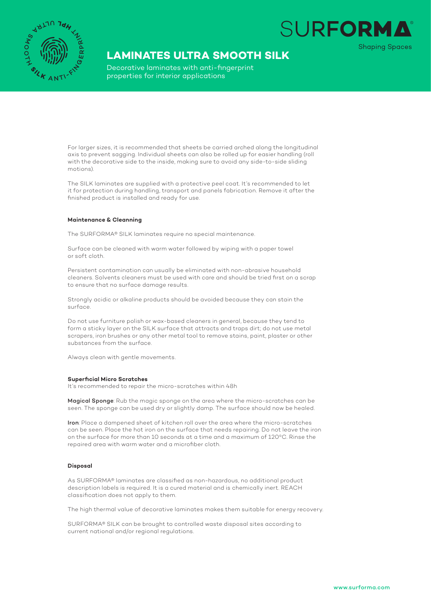

## **LAMINATES ULTRA SMOOTH SILK**

Decorative laminates with anti-fingerprint properties for interior applications

For larger sizes, it is recommended that sheets be carried arched along the longitudinal axis to prevent sagging. Individual sheets can also be rolled up for easier handling (roll with the decorative side to the inside, making sure to avoid any side-to-side sliding motions).

The SILK laminates are supplied with a protective peel coat. It's recommended to let it for protection during handling, transport and panels fabrication. Remove it after the finished product is installed and ready for use.

### **Maintenance & Cleanning**

The SURFORMA® SILK laminates require no special maintenance.

Surface can be cleaned with warm water followed by wiping with a paper towel or soft cloth.

Persistent contamination can usually be eliminated with non-abrasive household cleaners. Solvents cleaners must be used with care and should be tried first on a scrap to ensure that no surface damage results.

Strongly acidic or alkaline products should be avoided because they can stain the surface.

Do not use furniture polish or wax-based cleaners in general, because they tend to form a sticky layer on the SILK surface that attracts and traps dirt; do not use metal scrapers, iron brushes or any other metal tool to remove stains, paint, plaster or other substances from the surface.

Always clean with gentle movements.

#### **Superficial Micro Scratches**

It's recommended to repair the micro-scratches within 48h

Magical Sponge: Rub the magic sponge on the area where the micro-scratches can be seen. The sponge can be used dry or slightly damp. The surface should now be healed.

Iron: Place a dampened sheet of kitchen roll over the area where the micro-scratches can be seen. Place the hot iron on the surface that needs repairing. Do not leave the iron on the surface for more than 10 seconds at a time and a maximum of 120ºC. Rinse the repaired area with warm water and a microfiber cloth.

#### **Disposal**

As SURFORMA® laminates are classified as non-hazardous, no additional product description labels is required. It is a cured material and is chemically inert. REACH classification does not apply to them.

The high thermal value of decorative laminates makes them suitable for energy recovery.

SURFORMA® SILK can be brought to controlled waste disposal sites according to current national and/or regional regulations.

**SURFORM** 

**Shaping Spaces**